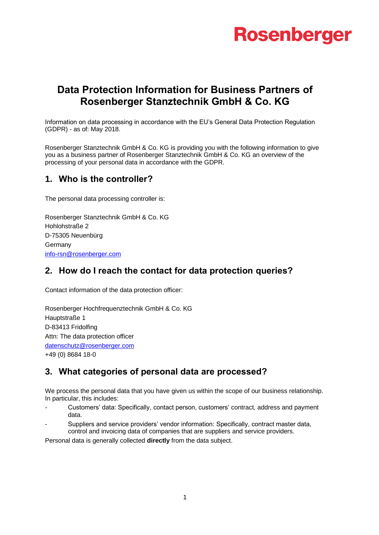# **Rosenberger**

## **Data Protection Information for Business Partners of Rosenberger Stanztechnik GmbH & Co. KG**

Information on data processing in accordance with the EU's General Data Protection Regulation (GDPR) - as of: May 2018.

Rosenberger Stanztechnik GmbH & Co. KG is providing you with the following information to give you as a business partner of Rosenberger Stanztechnik GmbH & Co. KG an overview of the processing of your personal data in accordance with the GDPR.

### **1. Who is the controller?**

The personal data processing controller is:

Rosenberger Stanztechnik GmbH & Co. KG Hohlohstraße 2 D-75305 Neuenbürg **Germany** [info-rsn@rosenberger.com](mailto:info-rsn@rosenberger.com)

## **2. How do I reach the contact for data protection queries?**

Contact information of the data protection officer:

Rosenberger Hochfrequenztechnik GmbH & Co. KG Hauptstraße 1 D-83413 Fridolfing Attn: The data protection officer [datenschutz@rosenberger.com](mailto:datenschutz@rosenberger.com) +49 (0) 8684 18-0

## **3. What categories of personal data are processed?**

We process the personal data that you have given us within the scope of our business relationship. In particular, this includes:

- Customers' data: Specifically, contact person, customers' contract, address and payment data.
- Suppliers and service providers' vendor information: Specifically, contract master data, control and invoicing data of companies that are suppliers and service providers.

Personal data is generally collected **directly** from the data subject.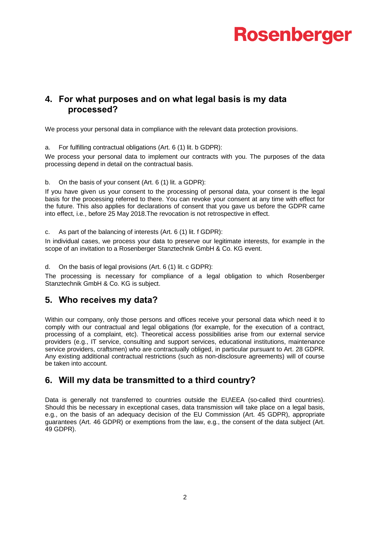# **Rosenberger**

### **4. For what purposes and on what legal basis is my data processed?**

We process your personal data in compliance with the relevant data protection provisions.

a. For fulfilling contractual obligations (Art. 6 (1) lit. b GDPR):

We process your personal data to implement our contracts with you. The purposes of the data processing depend in detail on the contractual basis.

b. On the basis of your consent (Art. 6 (1) lit. a GDPR):

If you have given us your consent to the processing of personal data, your consent is the legal basis for the processing referred to there. You can revoke your consent at any time with effect for the future. This also applies for declarations of consent that you gave us before the GDPR came into effect, i.e., before 25 May 2018.The revocation is not retrospective in effect.

c. As part of the balancing of interests (Art. 6 (1) lit. f GDPR):

In individual cases, we process your data to preserve our legitimate interests, for example in the scope of an invitation to a Rosenberger Stanztechnik GmbH & Co. KG event.

d. On the basis of legal provisions (Art. 6 (1) lit. c GDPR):

The processing is necessary for compliance of a legal obligation to which Rosenberger Stanztechnik GmbH & Co. KG is subject.

### **5. Who receives my data?**

Within our company, only those persons and offices receive your personal data which need it to comply with our contractual and legal obligations (for example, for the execution of a contract, processing of a complaint, etc). Theoretical access possibilities arise from our external service providers (e.g., IT service, consulting and support services, educational institutions, maintenance service providers, craftsmen) who are contractually obliged, in particular pursuant to Art. 28 GDPR. Any existing additional contractual restrictions (such as non-disclosure agreements) will of course be taken into account.

## **6. Will my data be transmitted to a third country?**

Data is generally not transferred to countries outside the EU\EEA (so-called third countries). Should this be necessary in exceptional cases, data transmission will take place on a legal basis, e.g., on the basis of an adequacy decision of the EU Commission (Art. 45 GDPR), appropriate guarantees (Art. 46 GDPR) or exemptions from the law, e.g., the consent of the data subject (Art. 49 GDPR).